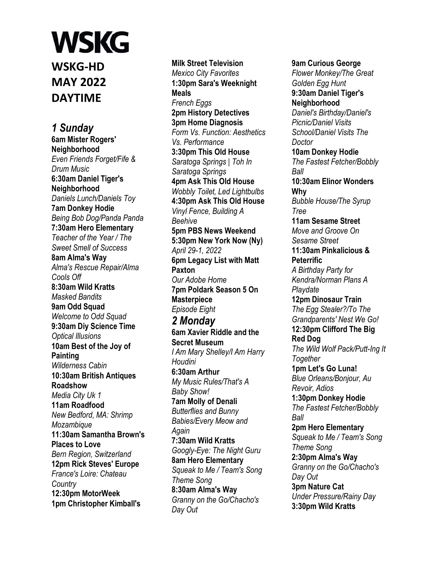**WSKG-HD MAY 2022 DAYTIME**

*1 Sunday*  **6am Mister Rogers' Neighborhood**  *Even Friends Forget/Fife & Drum Music*  **6:30am Daniel Tiger's Neighborhood**  *Daniels Lunch/Daniels Toy*  **7am Donkey Hodie**  *Being Bob Dog/Panda Panda*  **7:30am Hero Elementary**  *Teacher of the Year / The Sweet Smell of Success*  **8am Alma's Way**  *Alma's Rescue Repair/Alma Cools Off*  **8:30am Wild Kratts**  *Masked Bandits*  **9am Odd Squad**  *Welcome to Odd Squad*  **9:30am Diy Science Time**  *Optical Illusions*  **10am Best of the Joy of Painting**  *Wilderness Cabin*  **10:30am British Antiques Roadshow**  *Media City Uk 1*  **11am Roadfood**  *New Bedford, MA: Shrimp Mozambique*  **11:30am Samantha Brown's Places to Love**  *Bern Region, Switzerland*  **12pm Rick Steves' Europe**  *France's Loire: Chateau Country*  **12:30pm MotorWeek 1pm Christopher Kimball's** 

**Milk Street Television**  *Mexico City Favorites*  **1:30pm Sara's Weeknight Meals**  *French Eggs*  **2pm History Detectives 3pm Home Diagnosis**  *Form Vs. Function: Aesthetics Vs. Performance*  **3:30pm This Old House**  *Saratoga Springs | Toh In Saratoga Springs*  **4pm Ask This Old House**  *Wobbly Toilet, Led Lightbulbs*  **4:30pm Ask This Old House**  *Vinyl Fence, Building A Beehive*  **5pm PBS News Weekend 5:30pm New York Now (Ny)**  *April 29-1, 2022*  **6pm Legacy List with Matt Paxton**  *Our Adobe Home*  **7pm Poldark Season 5 On Masterpiece**  *Episode Eight 2 Monday*  **6am Xavier Riddle and the Secret Museum**  *I Am Mary Shelley/I Am Harry Houdini*  **6:30am Arthur**  *My Music Rules/That's A Baby Show!*  **7am Molly of Denali**  *Butterflies and Bunny Babies/Every Meow and Again*  **7:30am Wild Kratts**  *Googly-Eye: The Night Guru*  **8am Hero Elementary**  *Squeak to Me / Team's Song Theme Song*  **8:30am Alma's Way**  *Granny on the Go/Chacho's Day Out* 

**9am Curious George**  *Flower Monkey/The Great Golden Egg Hunt*  **9:30am Daniel Tiger's Neighborhood**  *Daniel's Birthday/Daniel's Picnic/Daniel Visits School/Daniel Visits The Doctor*  **10am Donkey Hodie**  *The Fastest Fetcher/Bobbly Ball*  **10:30am Elinor Wonders Why**  *Bubble House/The Syrup Tree*  **11am Sesame Street**  *Move and Groove On Sesame Street*  **11:30am Pinkalicious & Peterrific**  *A Birthday Party for Kendra/Norman Plans A Playdate*  **12pm Dinosaur Train**  *The Egg Stealer?/To The Grandparents' Nest We Go!*  **12:30pm Clifford The Big Red Dog**  *The Wild Wolf Pack/Putt-Ing It Together*  **1pm Let's Go Luna!**  *Blue Orleans/Bonjour, Au Revoir, Adios*  **1:30pm Donkey Hodie**  *The Fastest Fetcher/Bobbly Ball*  **2pm Hero Elementary**  *Squeak to Me / Team's Song Theme Song*  **2:30pm Alma's Way**  *Granny on the Go/Chacho's Day Out*  **3pm Nature Cat**  *Under Pressure/Rainy Day*  **3:30pm Wild Kratts**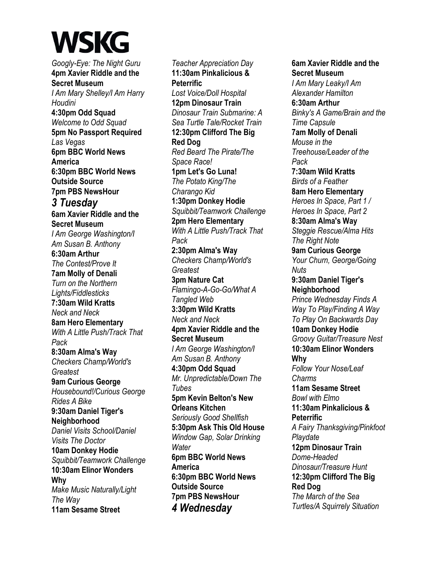*Googly-Eye: The Night Guru*  **4pm Xavier Riddle and the Secret Museum**  *I Am Mary Shelley/I Am Harry Houdini*  **4:30pm Odd Squad**  *Welcome to Odd Squad*  **5pm No Passport Required**  *Las Vegas*  **6pm BBC World News America 6:30pm BBC World News Outside Source 7pm PBS NewsHour**  *3 Tuesday*  **6am Xavier Riddle and the Secret Museum**  *I Am George Washington/I Am Susan B. Anthony*  **6:30am Arthur**  *The Contest/Prove It*  **7am Molly of Denali**  *Turn on the Northern Lights/Fiddlesticks*  **7:30am Wild Kratts**  *Neck and Neck*  **8am Hero Elementary**  *With A Little Push/Track That Pack*  **8:30am Alma's Way**  *Checkers Champ/World's Greatest*  **9am Curious George**  *Housebound!/Curious George Rides A Bike*  **9:30am Daniel Tiger's Neighborhood**  *Daniel Visits School/Daniel Visits The Doctor*  **10am Donkey Hodie**  *Squibbit/Teamwork Challenge*  **10:30am Elinor Wonders Why**  *Make Music Naturally/Light The Way*  **11am Sesame Street** 

*Teacher Appreciation Day*  **11:30am Pinkalicious & Peterrific**  *Lost Voice/Doll Hospital*  **12pm Dinosaur Train**  *Dinosaur Train Submarine: A Sea Turtle Tale/Rocket Train*  **12:30pm Clifford The Big Red Dog**  *Red Beard The Pirate/The Space Race!*  **1pm Let's Go Luna!**  *The Potato King/The Charango Kid*  **1:30pm Donkey Hodie**  *Squibbit/Teamwork Challenge*  **2pm Hero Elementary**  *With A Little Push/Track That Pack*  **2:30pm Alma's Way**  *Checkers Champ/World's Greatest*  **3pm Nature Cat**  *Flamingo-A-Go-Go/What A Tangled Web*  **3:30pm Wild Kratts**  *Neck and Neck*  **4pm Xavier Riddle and the Secret Museum**  *I Am George Washington/I Am Susan B. Anthony*  **4:30pm Odd Squad**  *Mr. Unpredictable/Down The Tubes*  **5pm Kevin Belton's New Orleans Kitchen**  *Seriously Good Shellfish*  **5:30pm Ask This Old House**  *Window Gap, Solar Drinking Water*  **6pm BBC World News America 6:30pm BBC World News Outside Source 7pm PBS NewsHour**  *4 Wednesday* 

#### **Secret Museum**  *I Am Mary Leaky/I Am Alexander Hamilton*  **6:30am Arthur**  *Binky's A Game/Brain and the Time Capsule*  **7am Molly of Denali**  *Mouse in the Treehouse/Leader of the Pack*  **7:30am Wild Kratts**  *Birds of a Feather*  **8am Hero Elementary**  *Heroes In Space, Part 1 / Heroes In Space, Part 2*  **8:30am Alma's Way**  *Steggie Rescue/Alma Hits The Right Note*  **9am Curious George**  *Your Churn, George/Going Nuts*  **9:30am Daniel Tiger's Neighborhood**  *Prince Wednesday Finds A Way To Play/Finding A Way To Play On Backwards Day*  **10am Donkey Hodie**  *Groovy Guitar/Treasure Nest*  **10:30am Elinor Wonders Why**  *Follow Your Nose/Leaf Charms*  **11am Sesame Street**  *Bowl with Elmo*  **11:30am Pinkalicious & Peterrific**  *A Fairy Thanksgiving/Pinkfoot Playdate*  **12pm Dinosaur Train**  *Dome-Headed Dinosaur/Treasure Hunt*  **12:30pm Clifford The Big Red Dog**  *The March of the Sea Turtles/A Squirrely Situation*

**6am Xavier Riddle and the**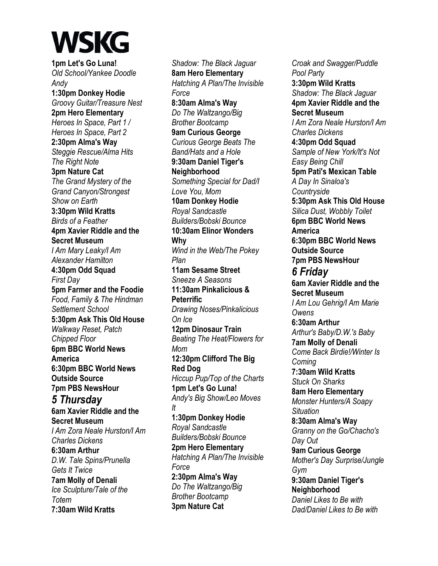**1pm Let's Go Luna!**  *Old School/Yankee Doodle Andy*  **1:30pm Donkey Hodie**  *Groovy Guitar/Treasure Nest*  **2pm Hero Elementary**  *Heroes In Space, Part 1 / Heroes In Space, Part 2*  **2:30pm Alma's Way**  *Steggie Rescue/Alma Hits The Right Note*  **3pm Nature Cat**  *The Grand Mystery of the Grand Canyon/Strongest Show on Earth*  **3:30pm Wild Kratts**  *Birds of a Feather*  **4pm Xavier Riddle and the Secret Museum**  *I Am Mary Leaky/I Am Alexander Hamilton*  **4:30pm Odd Squad**  *First Day*  **5pm Farmer and the Foodie**  *Food, Family & The Hindman Settlement School*  **5:30pm Ask This Old House**  *Walkway Reset, Patch Chipped Floor*  **6pm BBC World News America 6:30pm BBC World News Outside Source 7pm PBS NewsHour**  *5 Thursday*  **6am Xavier Riddle and the Secret Museum**  *I Am Zora Neale Hurston/I Am Charles Dickens*  **6:30am Arthur**  *D.W. Tale Spins/Prunella Gets It Twice*  **7am Molly of Denali**  *Ice Sculpture/Tale of the Totem*  **7:30am Wild Kratts** 

*Shadow: The Black Jaguar*  **8am Hero Elementary**  *Hatching A Plan/The Invisible Force*  **8:30am Alma's Way**  *Do The Waltzango/Big Brother Bootcamp*  **9am Curious George**  *Curious George Beats The Band/Hats and a Hole*  **9:30am Daniel Tiger's Neighborhood**  *Something Special for Dad/I Love You, Mom*  **10am Donkey Hodie**  *Royal Sandcastle Builders/Bobski Bounce*  **10:30am Elinor Wonders Why**  *Wind in the Web/The Pokey Plan*  **11am Sesame Street**  *Sneeze A Seasons*  **11:30am Pinkalicious & Peterrific**  *Drawing Noses/Pinkalicious On Ice*  **12pm Dinosaur Train**  *Beating The Heat/Flowers for Mom*  **12:30pm Clifford The Big Red Dog**  *Hiccup Pup/Top of the Charts*  **1pm Let's Go Luna!**  *Andy's Big Show/Leo Moves It*  **1:30pm Donkey Hodie**  *Royal Sandcastle Builders/Bobski Bounce*  **2pm Hero Elementary**  *Hatching A Plan/The Invisible Force*  **2:30pm Alma's Way**  *Do The Waltzango/Big Brother Bootcamp*  **3pm Nature Cat** 

*Croak and Swagger/Puddle Pool Party*  **3:30pm Wild Kratts**  *Shadow: The Black Jaguar*  **4pm Xavier Riddle and the Secret Museum**  *I Am Zora Neale Hurston/I Am Charles Dickens*  **4:30pm Odd Squad**  *Sample of New York/It's Not Easy Being Chill*  **5pm Pati's Mexican Table**  *A Day In Sinaloa's Countryside*  **5:30pm Ask This Old House**  *Silica Dust, Wobbly Toilet*  **6pm BBC World News America 6:30pm BBC World News Outside Source 7pm PBS NewsHour**  *6 Friday*  **6am Xavier Riddle and the Secret Museum**  *I Am Lou Gehrig/I Am Marie Owens*  **6:30am Arthur**  *Arthur's Baby/D.W.'s Baby*  **7am Molly of Denali**  *Come Back Birdie!/Winter Is Coming*  **7:30am Wild Kratts**  *Stuck On Sharks*  **8am Hero Elementary**  *Monster Hunters/A Soapy Situation*  **8:30am Alma's Way**  *Granny on the Go/Chacho's Day Out*  **9am Curious George**  *Mother's Day Surprise/Jungle Gym*  **9:30am Daniel Tiger's Neighborhood**  *Daniel Likes to Be with Dad/Daniel Likes to Be with*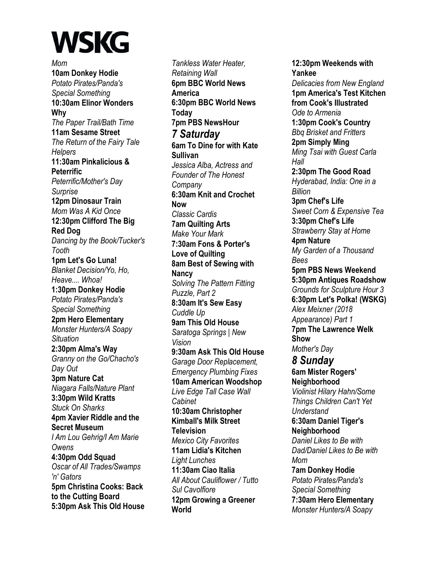*Mom*  **10am Donkey Hodie**  *Potato Pirates/Panda's Special Something*  **10:30am Elinor Wonders Why**  *The Paper Trail/Bath Time*  **11am Sesame Street**  *The Return of the Fairy Tale Helpers*  **11:30am Pinkalicious & Peterrific**  *Peterrific/Mother's Day Surprise*  **12pm Dinosaur Train**  *Mom Was A Kid Once*  **12:30pm Clifford The Big Red Dog**  *Dancing by the Book/Tucker's Tooth*  **1pm Let's Go Luna!**  *Blanket Decision/Yo, Ho, Heave.... Whoa!*  **1:30pm Donkey Hodie**  *Potato Pirates/Panda's Special Something*  **2pm Hero Elementary**  *Monster Hunters/A Soapy Situation*  **2:30pm Alma's Way**  *Granny on the Go/Chacho's Day Out*  **3pm Nature Cat**  *Niagara Falls/Nature Plant*  **3:30pm Wild Kratts**  *Stuck On Sharks*  **4pm Xavier Riddle and the Secret Museum**  *I Am Lou Gehrig/I Am Marie Owens*  **4:30pm Odd Squad**  *Oscar of All Trades/Swamps 'n' Gators*  **5pm Christina Cooks: Back to the Cutting Board 5:30pm Ask This Old House** 

*Tankless Water Heater, Retaining Wall*  **6pm BBC World News America 6:30pm BBC World News Today 7pm PBS NewsHour**  *7 Saturday*  **6am To Dine for with Kate Sullivan**  *Jessica Alba, Actress and Founder of The Honest Company*  **6:30am Knit and Crochet Now**  *Classic Cardis*  **7am Quilting Arts**  *Make Your Mark*  **7:30am Fons & Porter's Love of Quilting 8am Best of Sewing with Nancy**  *Solving The Pattern Fitting Puzzle, Part 2*  **8:30am It's Sew Easy**  *Cuddle Up*  **9am This Old House**  *Saratoga Springs | New Vision*  **9:30am Ask This Old House**  *Garage Door Replacement, Emergency Plumbing Fixes*  **10am American Woodshop**  *Live Edge Tall Case Wall Cabinet*  **10:30am Christopher Kimball's Milk Street Television**  *Mexico City Favorites*  **11am Lidia's Kitchen**  *Light Lunches*  **11:30am Ciao Italia**  *All About Cauliflower / Tutto Sul Cavolfiore*  **12pm Growing a Greener World**

**12:30pm Weekends with Yankee**  *Delicacies from New England*  **1pm America's Test Kitchen from Cook's Illustrated**  *Ode to Armenia*  **1:30pm Cook's Country**  *Bbq Brisket and Fritters*  **2pm Simply Ming**  *Ming Tsai with Guest Carla Hall*  **2:30pm The Good Road**  *Hyderabad, India: One in a Billion*  **3pm Chef's Life**  *Sweet Corn & Expensive Tea*  **3:30pm Chef's Life**  *Strawberry Stay at Home*  **4pm Nature**  *My Garden of a Thousand Bees*  **5pm PBS News Weekend 5:30pm Antiques Roadshow**  *Grounds for Sculpture Hour 3*  **6:30pm Let's Polka! (WSKG)**  *Alex Meixner (2018 Appearance) Part 1*  **7pm The Lawrence Welk Show**  *Mother's Day 8 Sunday*  **6am Mister Rogers' Neighborhood**  *Violinist Hilary Hahn/Some Things Children Can't Yet Understand*  **6:30am Daniel Tiger's Neighborhood**  *Daniel Likes to Be with Dad/Daniel Likes to Be with Mom*  **7am Donkey Hodie**  *Potato Pirates/Panda's Special Something*  **7:30am Hero Elementary**  *Monster Hunters/A Soapy*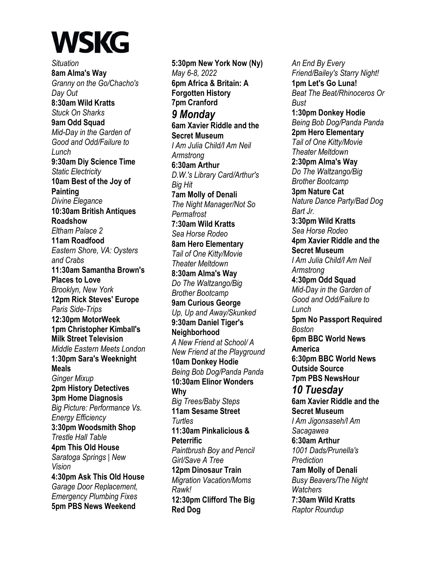*Situation*  **8am Alma's Way**  *Granny on the Go/Chacho's Day Out*  **8:30am Wild Kratts**  *Stuck On Sharks*  **9am Odd Squad**  *Mid-Day in the Garden of Good and Odd/Failure to Lunch*  **9:30am Diy Science Time**  *Static Electricity*  **10am Best of the Joy of Painting**  *Divine Elegance*  **10:30am British Antiques Roadshow**  *Eltham Palace 2*  **11am Roadfood**  *Eastern Shore, VA: Oysters and Crabs*  **11:30am Samantha Brown's Places to Love**  *Brooklyn, New York*  **12pm Rick Steves' Europe**  *Paris Side-Trips*  **12:30pm MotorWeek 1pm Christopher Kimball's Milk Street Television**  *Middle Eastern Meets London*  **1:30pm Sara's Weeknight Meals**  *Ginger Mixup*  **2pm History Detectives 3pm Home Diagnosis**  *Big Picture: Performance Vs. Energy Efficiency*  **3:30pm Woodsmith Shop**  *Trestle Hall Table*  **4pm This Old House**  *Saratoga Springs | New Vision*  **4:30pm Ask This Old House**  *Garage Door Replacement, Emergency Plumbing Fixes*  **5pm PBS News Weekend** 

**5:30pm New York Now (Ny)**  *May 6-8, 2022*  **6pm Africa & Britain: A Forgotten History 7pm Cranford**  *9 Monday*  **6am Xavier Riddle and the Secret Museum**  *I Am Julia Child/I Am Neil Armstrong*  **6:30am Arthur**  *D.W.'s Library Card/Arthur's Big Hit*  **7am Molly of Denali**  *The Night Manager/Not So Permafrost*  **7:30am Wild Kratts**  *Sea Horse Rodeo*  **8am Hero Elementary**  *Tail of One Kitty/Movie Theater Meltdown*  **8:30am Alma's Way**  *Do The Waltzango/Big Brother Bootcamp*  **9am Curious George**  *Up, Up and Away/Skunked*  **9:30am Daniel Tiger's Neighborhood**  *A New Friend at School/ A New Friend at the Playground*  **10am Donkey Hodie**  *Being Bob Dog/Panda Panda*  **10:30am Elinor Wonders Why**  *Big Trees/Baby Steps*  **11am Sesame Street**  *Turtles*  **11:30am Pinkalicious & Peterrific**  *Paintbrush Boy and Pencil Girl/Save A Tree*  **12pm Dinosaur Train**  *Migration Vacation/Moms Rawk!*  **12:30pm Clifford The Big Red Dog** 

*An End By Every Friend/Bailey's Starry Night!*  **1pm Let's Go Luna!**  *Beat The Beat/Rhinoceros Or Bust*  **1:30pm Donkey Hodie**  *Being Bob Dog/Panda Panda*  **2pm Hero Elementary**  *Tail of One Kitty/Movie Theater Meltdown*  **2:30pm Alma's Way**  *Do The Waltzango/Big Brother Bootcamp*  **3pm Nature Cat**  *Nature Dance Party/Bad Dog Bart Jr.*  **3:30pm Wild Kratts**  *Sea Horse Rodeo*  **4pm Xavier Riddle and the Secret Museum**  *I Am Julia Child/I Am Neil Armstrong*  **4:30pm Odd Squad**  *Mid-Day in the Garden of Good and Odd/Failure to Lunch*  **5pm No Passport Required**  *Boston*  **6pm BBC World News America 6:30pm BBC World News Outside Source 7pm PBS NewsHour**  *10 Tuesday*  **6am Xavier Riddle and the Secret Museum**  *I Am Jigonsaseh/I Am Sacagawea*  **6:30am Arthur**  *1001 Dads/Prunella's Prediction*  **7am Molly of Denali**  *Busy Beavers/The Night Watchers*  **7:30am Wild Kratts**  *Raptor Roundup*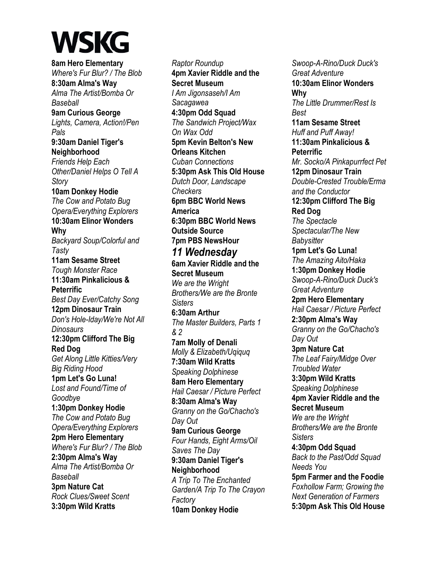**8am Hero Elementary**  *Where's Fur Blur? / The Blob*  **8:30am Alma's Way**  *Alma The Artist/Bomba Or Baseball*  **9am Curious George**  *Lights, Camera, Action!/Pen Pals*  **9:30am Daniel Tiger's Neighborhood**  *Friends Help Each Other/Daniel Helps O Tell A Story*  **10am Donkey Hodie**  *The Cow and Potato Bug Opera/Everything Explorers*  **10:30am Elinor Wonders Why**  *Backyard Soup/Colorful and Tasty*  **11am Sesame Street**  *Tough Monster Race*  **11:30am Pinkalicious & Peterrific**  *Best Day Ever/Catchy Song*  **12pm Dinosaur Train**  *Don's Hole-Iday/We're Not All Dinosaurs*  **12:30pm Clifford The Big Red Dog**  *Get Along Little Kitties/Very Big Riding Hood*  **1pm Let's Go Luna!**  *Lost and Found/Time of Goodbye*  **1:30pm Donkey Hodie**  *The Cow and Potato Bug Opera/Everything Explorers*  **2pm Hero Elementary**  *Where's Fur Blur? / The Blob*  **2:30pm Alma's Way**  *Alma The Artist/Bomba Or Baseball*  **3pm Nature Cat**  *Rock Clues/Sweet Scent*  **3:30pm Wild Kratts** 

*Raptor Roundup*  **4pm Xavier Riddle and the Secret Museum**  *I Am Jigonsaseh/I Am Sacagawea*  **4:30pm Odd Squad**  *The Sandwich Project/Wax On Wax Odd*  **5pm Kevin Belton's New Orleans Kitchen**  *Cuban Connections*  **5:30pm Ask This Old House**  *Dutch Door, Landscape Checkers*  **6pm BBC World News America 6:30pm BBC World News Outside Source 7pm PBS NewsHour**  *11 Wednesday*  **6am Xavier Riddle and the Secret Museum**  *We are the Wright Brothers/We are the Bronte Sisters*  **6:30am Arthur**  *The Master Builders, Parts 1 & 2*  **7am Molly of Denali**  *Molly & Elizabeth/Uqiquq*  **7:30am Wild Kratts**  *Speaking Dolphinese*  **8am Hero Elementary**  *Hail Caesar / Picture Perfect*  **8:30am Alma's Way**  *Granny on the Go/Chacho's Day Out*  **9am Curious George**  *Four Hands, Eight Arms/Oil Saves The Day*  **9:30am Daniel Tiger's Neighborhood**  *A Trip To The Enchanted Garden/A Trip To The Crayon Factory*  **10am Donkey Hodie** 

*Swoop-A-Rino/Duck Duck's Great Adventure*  **10:30am Elinor Wonders Why**  *The Little Drummer/Rest Is Best*  **11am Sesame Street**  *Huff and Puff Away!*  **11:30am Pinkalicious & Peterrific**  *Mr. Socko/A Pinkapurrfect Pet*  **12pm Dinosaur Train**  *Double-Crested Trouble/Erma and the Conductor*  **12:30pm Clifford The Big Red Dog**  *The Spectacle Spectacular/The New Babysitter*  **1pm Let's Go Luna!**  *The Amazing Aito/Haka*  **1:30pm Donkey Hodie**  *Swoop-A-Rino/Duck Duck's Great Adventure*  **2pm Hero Elementary**  *Hail Caesar / Picture Perfect*  **2:30pm Alma's Way**  *Granny on the Go/Chacho's Day Out*  **3pm Nature Cat**  *The Leaf Fairy/Midge Over Troubled Water*  **3:30pm Wild Kratts**  *Speaking Dolphinese*  **4pm Xavier Riddle and the Secret Museum**  *We are the Wright Brothers/We are the Bronte Sisters*  **4:30pm Odd Squad**  *Back to the Past/Odd Squad Needs You*  **5pm Farmer and the Foodie**  *Foxhollow Farm; Growing the Next Generation of Farmers*  **5:30pm Ask This Old House**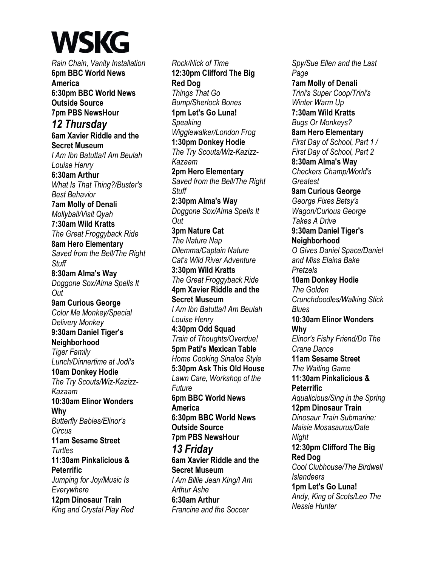*Rain Chain, Vanity Installation*  **6pm BBC World News America 6:30pm BBC World News Outside Source 7pm PBS NewsHour**  *12 Thursday*  **6am Xavier Riddle and the Secret Museum**  *I Am Ibn Batutta/I Am Beulah Louise Henry*  **6:30am Arthur**  *What Is That Thing?/Buster's Best Behavior*  **7am Molly of Denali**  *Mollyball/Visit Qyah*  **7:30am Wild Kratts**  *The Great Froggyback Ride*  **8am Hero Elementary**  *Saved from the Bell/The Right Stuff*  **8:30am Alma's Way**  *Doggone Sox/Alma Spells It Out*  **9am Curious George**  *Color Me Monkey/Special Delivery Monkey*  **9:30am Daniel Tiger's Neighborhood**  *Tiger Family Lunch/Dinnertime at Jodi's*  **10am Donkey Hodie**  *The Try Scouts/Wiz-Kazizz-Kazaam*  **10:30am Elinor Wonders Why**  *Butterfly Babies/Elinor's Circus*  **11am Sesame Street**  *Turtles*  **11:30am Pinkalicious & Peterrific**  *Jumping for Joy/Music Is Everywhere*  **12pm Dinosaur Train**  *King and Crystal Play Red* 

*Rock/Nick of Time*  **12:30pm Clifford The Big Red Dog**  *Things That Go Bump/Sherlock Bones*  **1pm Let's Go Luna!**  *Speaking Wigglewalker/London Frog*  **1:30pm Donkey Hodie**  *The Try Scouts/Wiz-Kazizz-Kazaam*  **2pm Hero Elementary**  *Saved from the Bell/The Right Stuff*  **2:30pm Alma's Way**  *Doggone Sox/Alma Spells It Out*  **3pm Nature Cat**  *The Nature Nap Dilemma/Captain Nature Cat's Wild River Adventure*  **3:30pm Wild Kratts**  *The Great Froggyback Ride*  **4pm Xavier Riddle and the Secret Museum**  *I Am Ibn Batutta/I Am Beulah Louise Henry*  **4:30pm Odd Squad**  *Train of Thoughts/Overdue!*  **5pm Pati's Mexican Table**  *Home Cooking Sinaloa Style*  **5:30pm Ask This Old House**  *Lawn Care, Workshop of the Future*  **6pm BBC World News America 6:30pm BBC World News Outside Source 7pm PBS NewsHour**  *13 Friday*  **6am Xavier Riddle and the Secret Museum**  *I Am Billie Jean King/I Am Arthur Ashe*  **6:30am Arthur**  *Francine and the Soccer* 

*Spy/Sue Ellen and the Last Page*  **7am Molly of Denali**  *Trini's Super Coop/Trini's Winter Warm Up*  **7:30am Wild Kratts**  *Bugs Or Monkeys?*  **8am Hero Elementary**  *First Day of School, Part 1 / First Day of School, Part 2*  **8:30am Alma's Way**  *Checkers Champ/World's Greatest*  **9am Curious George**  *George Fixes Betsy's Wagon/Curious George Takes A Drive*  **9:30am Daniel Tiger's Neighborhood**  *O Gives Daniel Space/Daniel and Miss Elaina Bake Pretzels*  **10am Donkey Hodie**  *The Golden Crunchdoodles/Walking Stick Blues*  **10:30am Elinor Wonders Why**  *Elinor's Fishy Friend/Do The Crane Dance*  **11am Sesame Street**  *The Waiting Game*  **11:30am Pinkalicious & Peterrific**  *Aqualicious/Sing in the Spring*  **12pm Dinosaur Train**  *Dinosaur Train Submarine: Maisie Mosasaurus/Date Night*  **12:30pm Clifford The Big Red Dog**  *Cool Clubhouse/The Birdwell Islandeers*  **1pm Let's Go Luna!**  *Andy, King of Scots/Leo The Nessie Hunter*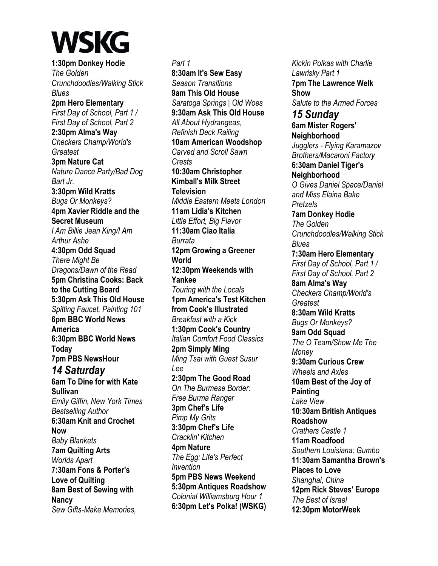**1:30pm Donkey Hodie**  *The Golden Crunchdoodles/Walking Stick Blues*  **2pm Hero Elementary**  *First Day of School, Part 1 / First Day of School, Part 2*  **2:30pm Alma's Way**  *Checkers Champ/World's Greatest*  **3pm Nature Cat**  *Nature Dance Party/Bad Dog Bart Jr.*  **3:30pm Wild Kratts**  *Bugs Or Monkeys?*  **4pm Xavier Riddle and the Secret Museum**  *I Am Billie Jean King/I Am Arthur Ashe*  **4:30pm Odd Squad**  *There Might Be Dragons/Dawn of the Read*  **5pm Christina Cooks: Back to the Cutting Board 5:30pm Ask This Old House**  *Spitting Faucet, Painting 101*  **6pm BBC World News America 6:30pm BBC World News Today 7pm PBS NewsHour**  *14 Saturday*  **6am To Dine for with Kate Sullivan**  *Emily Giffin, New York Times Bestselling Author*  **6:30am Knit and Crochet Now**  *Baby Blankets*  **7am Quilting Arts**  *Worlds Apart*  **7:30am Fons & Porter's Love of Quilting 8am Best of Sewing with Nancy**  *Sew Gifts-Make Memories,* 

*Part 1*  **8:30am It's Sew Easy**  *Season Transitions*  **9am This Old House**  *Saratoga Springs | Old Woes*  **9:30am Ask This Old House**  *All About Hydrangeas, Refinish Deck Railing*  **10am American Woodshop**  *Carved and Scroll Sawn Crests*  **10:30am Christopher Kimball's Milk Street Television**  *Middle Eastern Meets London*  **11am Lidia's Kitchen**  *Little Effort, Big Flavor*  **11:30am Ciao Italia**  *Burrata*  **12pm Growing a Greener World 12:30pm Weekends with Yankee** *Touring with the Locals*  **1pm America's Test Kitchen from Cook's Illustrated**  *Breakfast with a Kick*  **1:30pm Cook's Country**  *Italian Comfort Food Classics*  **2pm Simply Ming**  *Ming Tsai with Guest Susur Lee*  **2:30pm The Good Road**  *On The Burmese Border: Free Burma Ranger*  **3pm Chef's Life**  *Pimp My Grits*  **3:30pm Chef's Life**  *Cracklin' Kitchen*  **4pm Nature**  *The Egg: Life's Perfect Invention*  **5pm PBS News Weekend 5:30pm Antiques Roadshow**  *Colonial Williamsburg Hour 1*  **6:30pm Let's Polka! (WSKG)** 

*Kickin Polkas with Charlie Lawrisky Part 1*  **7pm The Lawrence Welk Show**  *Salute to the Armed Forces 15 Sunday*  **6am Mister Rogers' Neighborhood**  *Jugglers - Flying Karamazov Brothers/Macaroni Factory*  **6:30am Daniel Tiger's Neighborhood**  *O Gives Daniel Space/Daniel and Miss Elaina Bake Pretzels*  **7am Donkey Hodie**  *The Golden Crunchdoodles/Walking Stick Blues*  **7:30am Hero Elementary**  *First Day of School, Part 1 / First Day of School, Part 2*  **8am Alma's Way**  *Checkers Champ/World's Greatest*  **8:30am Wild Kratts**  *Bugs Or Monkeys?*  **9am Odd Squad**  *The O Team/Show Me The Money*  **9:30am Curious Crew**  *Wheels and Axles*  **10am Best of the Joy of Painting**  *Lake View*  **10:30am British Antiques Roadshow**  *Crathers Castle 1*  **11am Roadfood**  *Southern Louisiana: Gumbo*  **11:30am Samantha Brown's Places to Love**  *Shanghai, China*  **12pm Rick Steves' Europe**  *The Best of Israel*  **12:30pm MotorWeek**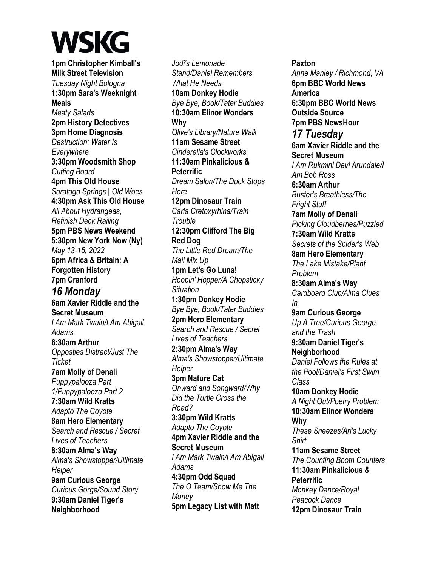**1pm Christopher Kimball's Milk Street Television**  *Tuesday Night Bologna*  **1:30pm Sara's Weeknight Meals**  *Meaty Salads*  **2pm History Detectives 3pm Home Diagnosis**  *Destruction: Water Is Everywhere*  **3:30pm Woodsmith Shop**  *Cutting Board*  **4pm This Old House**  *Saratoga Springs | Old Woes*  **4:30pm Ask This Old House**  *All About Hydrangeas, Refinish Deck Railing*  **5pm PBS News Weekend 5:30pm New York Now (Ny)**  *May 13-15, 2022*  **6pm Africa & Britain: A Forgotten History 7pm Cranford**  *16 Monday*  **6am Xavier Riddle and the Secret Museum**  *I Am Mark Twain/I Am Abigail Adams*  **6:30am Arthur**  *Opposties Distract/Just The Ticket*  **7am Molly of Denali**  *Puppypalooza Part 1/Puppypalooza Part 2*  **7:30am Wild Kratts**  *Adapto The Coyote*  **8am Hero Elementary**  *Search and Rescue / Secret Lives of Teachers*  **8:30am Alma's Way**  *Alma's Showstopper/Ultimate Helper*  **9am Curious George**  *Curious Gorge/Sound Story*  **9:30am Daniel Tiger's Neighborhood** 

*Jodi's Lemonade Stand/Daniel Remembers What He Needs*  **10am Donkey Hodie**  *Bye Bye, Book/Tater Buddies*  **10:30am Elinor Wonders Why**  *Olive's Library/Nature Walk*  **11am Sesame Street**  *Cinderella's Clockworks*  **11:30am Pinkalicious & Peterrific**  *Dream Salon/The Duck Stops Here*  **12pm Dinosaur Train**  *Carla Cretoxyrhina/Train Trouble*  **12:30pm Clifford The Big Red Dog**  *The Little Red Dream/The Mail Mix Up*  **1pm Let's Go Luna!**  *Hoopin' Hopper/A Chopsticky Situation*  **1:30pm Donkey Hodie**  *Bye Bye, Book/Tater Buddies*  **2pm Hero Elementary**  *Search and Rescue / Secret Lives of Teachers*  **2:30pm Alma's Way**  *Alma's Showstopper/Ultimate Helper*  **3pm Nature Cat**  *Onward and Songward/Why Did the Turtle Cross the Road?*  **3:30pm Wild Kratts**  *Adapto The Coyote*  **4pm Xavier Riddle and the Secret Museum**  *I Am Mark Twain/I Am Abigail Adams*  **4:30pm Odd Squad**  *The O Team/Show Me The Money*  **5pm Legacy List with Matt** 

**Paxton**  *Anne Manley / Richmond, VA*  **6pm BBC World News America 6:30pm BBC World News Outside Source 7pm PBS NewsHour**  *17 Tuesday*  **6am Xavier Riddle and the Secret Museum**  *I Am Rukmini Devi Arundale/I Am Bob Ross*  **6:30am Arthur**  *Buster's Breathless/The Fright Stuff*  **7am Molly of Denali**  *Picking Cloudberries/Puzzled*  **7:30am Wild Kratts**  *Secrets of the Spider's Web*  **8am Hero Elementary**  *The Lake Mistake/Plant Problem*  **8:30am Alma's Way**  *Cardboard Club/Alma Clues In*  **9am Curious George**  *Up A Tree/Curious George and the Trash*  **9:30am Daniel Tiger's Neighborhood**  *Daniel Follows the Rules at the Pool/Daniel's First Swim Class*  **10am Donkey Hodie**  *A Night Out/Poetry Problem*  **10:30am Elinor Wonders Why**  *These Sneezes/Ari's Lucky Shirt*  **11am Sesame Street**  *The Counting Booth Counters*  **11:30am Pinkalicious & Peterrific**  *Monkey Dance/Royal Peacock Dance*  **12pm Dinosaur Train**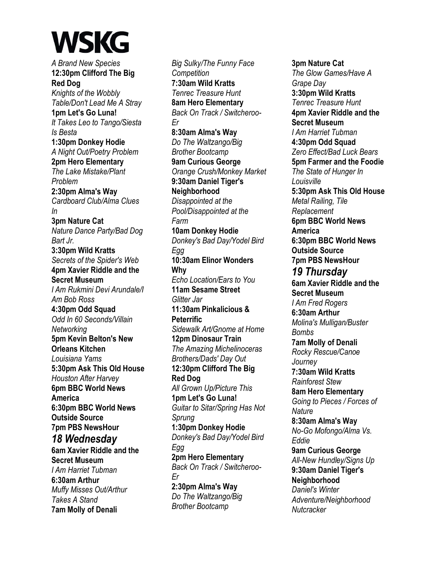*A Brand New Species*  **12:30pm Clifford The Big Red Dog**  *Knights of the Wobbly Table/Don't Lead Me A Stray*  **1pm Let's Go Luna!**  *It Takes Leo to Tango/Siesta Is Besta*  **1:30pm Donkey Hodie**  *A Night Out/Poetry Problem*  **2pm Hero Elementary**  *The Lake Mistake/Plant Problem*  **2:30pm Alma's Way**  *Cardboard Club/Alma Clues In*  **3pm Nature Cat**  *Nature Dance Party/Bad Dog Bart Jr.*  **3:30pm Wild Kratts**  *Secrets of the Spider's Web*  **4pm Xavier Riddle and the Secret Museum**  *I Am Rukmini Devi Arundale/I Am Bob Ross*  **4:30pm Odd Squad**  *Odd In 60 Seconds/Villain Networking*  **5pm Kevin Belton's New Orleans Kitchen**  *Louisiana Yams*  **5:30pm Ask This Old House**  *Houston After Harvey*  **6pm BBC World News America 6:30pm BBC World News Outside Source 7pm PBS NewsHour**  *18 Wednesday*  **6am Xavier Riddle and the Secret Museum**  *I Am Harriet Tubman*  **6:30am Arthur**  *Muffy Misses Out/Arthur Takes A Stand*  **7am Molly of Denali** 

*Big Sulky/The Funny Face Competition*  **7:30am Wild Kratts**  *Tenrec Treasure Hunt*  **8am Hero Elementary**  *Back On Track / Switcheroo-Er*  **8:30am Alma's Way**  *Do The Waltzango/Big Brother Bootcamp*  **9am Curious George**  *Orange Crush/Monkey Market*  **9:30am Daniel Tiger's Neighborhood**  *Disappointed at the Pool/Disappointed at the Farm*  **10am Donkey Hodie**  *Donkey's Bad Day/Yodel Bird Egg*  **10:30am Elinor Wonders Why**  *Echo Location/Ears to You*  **11am Sesame Street**  *Glitter Jar*  **11:30am Pinkalicious & Peterrific**  *Sidewalk Art/Gnome at Home*  **12pm Dinosaur Train**  *The Amazing Michelinoceras Brothers/Dads' Day Out*  **12:30pm Clifford The Big Red Dog**  *All Grown Up/Picture This*  **1pm Let's Go Luna!**  *Guitar to Sitar/Spring Has Not Sprung*  **1:30pm Donkey Hodie**  *Donkey's Bad Day/Yodel Bird Egg*  **2pm Hero Elementary**  *Back On Track / Switcheroo-Er*  **2:30pm Alma's Way**  *Do The Waltzango/Big Brother Bootcamp* 

**3pm Nature Cat**  *The Glow Games/Have A Grape Day*  **3:30pm Wild Kratts**  *Tenrec Treasure Hunt*  **4pm Xavier Riddle and the Secret Museum**  *I Am Harriet Tubman*  **4:30pm Odd Squad**  *Zero Effect/Bad Luck Bears*  **5pm Farmer and the Foodie**  *The State of Hunger In Louisville*  **5:30pm Ask This Old House**  *Metal Railing, Tile Replacement*  **6pm BBC World News America 6:30pm BBC World News Outside Source 7pm PBS NewsHour**  *19 Thursday*  **6am Xavier Riddle and the Secret Museum**  *I Am Fred Rogers*  **6:30am Arthur**  *Molina's Mulligan/Buster Bombs*  **7am Molly of Denali**  *Rocky Rescue/Canoe Journey*  **7:30am Wild Kratts**  *Rainforest Stew*  **8am Hero Elementary**  *Going to Pieces / Forces of Nature*  **8:30am Alma's Way**  *No-Go Mofongo/Alma Vs. Eddie*  **9am Curious George**  *All-New Hundley/Signs Up*  **9:30am Daniel Tiger's Neighborhood**  *Daniel's Winter Adventure/Neighborhood Nutcracker*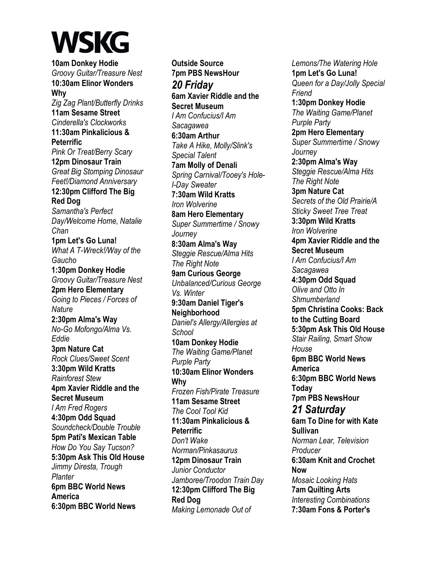**10am Donkey Hodie**  *Groovy Guitar/Treasure Nest*  **10:30am Elinor Wonders Why**  *Zig Zag Plant/Butterfly Drinks*  **11am Sesame Street**  *Cinderella's Clockworks*  **11:30am Pinkalicious & Peterrific**  *Pink Or Treat/Berry Scary*  **12pm Dinosaur Train**  *Great Big Stomping Dinosaur Feet!/Diamond Anniversary*  **12:30pm Clifford The Big Red Dog**  *Samantha's Perfect Day/Welcome Home, Natalie Chan*  **1pm Let's Go Luna!**  *What A T-Wreck!/Way of the Gaucho*  **1:30pm Donkey Hodie**  *Groovy Guitar/Treasure Nest*  **2pm Hero Elementary**  *Going to Pieces / Forces of Nature*  **2:30pm Alma's Way**  *No-Go Mofongo/Alma Vs. Eddie*  **3pm Nature Cat**  *Rock Clues/Sweet Scent*  **3:30pm Wild Kratts**  *Rainforest Stew*  **4pm Xavier Riddle and the Secret Museum**  *I Am Fred Rogers*  **4:30pm Odd Squad**  *Soundcheck/Double Trouble*  **5pm Pati's Mexican Table**  *How Do You Say Tucson?*  **5:30pm Ask This Old House**  *Jimmy Diresta, Trough Planter*  **6pm BBC World News America 6:30pm BBC World News** 

**Outside Source 7pm PBS NewsHour**  *20 Friday*  **6am Xavier Riddle and the Secret Museum**  *I Am Confucius/I Am Sacagawea*  **6:30am Arthur**  *Take A Hike, Molly/Slink's Special Talent*  **7am Molly of Denali**  *Spring Carnival/Tooey's Hole-I-Day Sweater*  **7:30am Wild Kratts**  *Iron Wolverine*  **8am Hero Elementary**  *Super Summertime / Snowy Journey*  **8:30am Alma's Way**  *Steggie Rescue/Alma Hits The Right Note*  **9am Curious George**  *Unbalanced/Curious George Vs. Winter*  **9:30am Daniel Tiger's Neighborhood**  *Daniel's Allergy/Allergies at School*  **10am Donkey Hodie**  *The Waiting Game/Planet Purple Party*  **10:30am Elinor Wonders Why**  *Frozen Fish/Pirate Treasure*  **11am Sesame Street**  *The Cool Tool Kid*  **11:30am Pinkalicious & Peterrific**  *Don't Wake Norman/Pinkasaurus*  **12pm Dinosaur Train**  *Junior Conductor Jamboree/Troodon Train Day*  **12:30pm Clifford The Big Red Dog**  *Making Lemonade Out of* 

*Lemons/The Watering Hole*  **1pm Let's Go Luna!**  *Queen for a Day/Jolly Special Friend*  **1:30pm Donkey Hodie**  *The Waiting Game/Planet Purple Party*  **2pm Hero Elementary**  *Super Summertime / Snowy Journey*  **2:30pm Alma's Way**  *Steggie Rescue/Alma Hits The Right Note*  **3pm Nature Cat**  *Secrets of the Old Prairie/A Sticky Sweet Tree Treat*  **3:30pm Wild Kratts**  *Iron Wolverine*  **4pm Xavier Riddle and the Secret Museum**  *I Am Confucius/I Am Sacagawea*  **4:30pm Odd Squad**  *Olive and Otto In Shmumberland*  **5pm Christina Cooks: Back to the Cutting Board 5:30pm Ask This Old House**  *Stair Railing, Smart Show House*  **6pm BBC World News America 6:30pm BBC World News Today 7pm PBS NewsHour**  *21 Saturday*  **6am To Dine for with Kate Sullivan**  *Norman Lear, Television Producer*  **6:30am Knit and Crochet Now**  *Mosaic Looking Hats*  **7am Quilting Arts**  *Interesting Combinations*  **7:30am Fons & Porter's**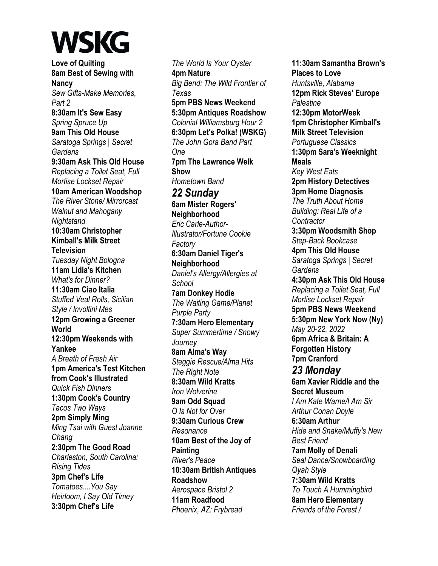**Love of Quilting 8am Best of Sewing with Nancy**  *Sew Gifts-Make Memories, Part 2*  **8:30am It's Sew Easy**  *Spring Spruce Up*  **9am This Old House**  *Saratoga Springs | Secret Gardens*  **9:30am Ask This Old House**  *Replacing a Toilet Seat, Full Mortise Lockset Repair*  **10am American Woodshop**  *The River Stone/ Mirrorcast Walnut and Mahogany Nightstand*  **10:30am Christopher Kimball's Milk Street Television**  *Tuesday Night Bologna*  **11am Lidia's Kitchen**  *What's for Dinner?*  **11:30am Ciao Italia**  *Stuffed Veal Rolls, Sicilian Style / Involtini Mes*  **12pm Growing a Greener World 12:30pm Weekends with Yankee**  *A Breath of Fresh Air*  **1pm America's Test Kitchen from Cook's Illustrated**  *Quick Fish Dinners*  **1:30pm Cook's Country**  *Tacos Two Ways*  **2pm Simply Ming**  *Ming Tsai with Guest Joanne Chang*  **2:30pm The Good Road**  *Charleston, South Carolina: Rising Tides*  **3pm Chef's Life**  *Tomatoes....You Say Heirloom, I Say Old Timey*  **3:30pm Chef's Life** 

*The World Is Your Oyster*  **4pm Nature**  *Big Bend: The Wild Frontier of Texas*  **5pm PBS News Weekend 5:30pm Antiques Roadshow**  *Colonial Williamsburg Hour 2*  **6:30pm Let's Polka! (WSKG)**  *The John Gora Band Part One*  **7pm The Lawrence Welk Show**  *Hometown Band 22 Sunday*  **6am Mister Rogers' Neighborhood**  *Eric Carle-Author-Illustrator/Fortune Cookie Factory*  **6:30am Daniel Tiger's Neighborhood**  *Daniel's Allergy/Allergies at School*  **7am Donkey Hodie**  *The Waiting Game/Planet Purple Party*  **7:30am Hero Elementary**  *Super Summertime / Snowy Journey*  **8am Alma's Way**  *Steggie Rescue/Alma Hits The Right Note*  **8:30am Wild Kratts**  *Iron Wolverine*  **9am Odd Squad**  *O Is Not for Over*  **9:30am Curious Crew**  *Resonance*  **10am Best of the Joy of Painting**  *River's Peace*  **10:30am British Antiques Roadshow**  *Aerospace Bristol 2*  **11am Roadfood**  *Phoenix, AZ: Frybread* 

**11:30am Samantha Brown's Places to Love**  *Huntsville, Alabama*  **12pm Rick Steves' Europe**  *Palestine*  **12:30pm MotorWeek 1pm Christopher Kimball's Milk Street Television**  *Portuguese Classics*  **1:30pm Sara's Weeknight Meals**  *Key West Eats*  **2pm History Detectives 3pm Home Diagnosis**  *The Truth About Home Building: Real Life of a Contractor*  **3:30pm Woodsmith Shop**  *Step-Back Bookcase*  **4pm This Old House**  *Saratoga Springs | Secret Gardens*  **4:30pm Ask This Old House**  *Replacing a Toilet Seat, Full Mortise Lockset Repair*  **5pm PBS News Weekend 5:30pm New York Now (Ny)**  *May 20-22, 2022*  **6pm Africa & Britain: A Forgotten History 7pm Cranford**  *23 Monday*  **6am Xavier Riddle and the Secret Museum**  *I Am Kate Warne/I Am Sir Arthur Conan Doyle*  **6:30am Arthur**  *Hide and Snake/Muffy's New Best Friend*  **7am Molly of Denali**  *Seal Dance/Snowboarding Qyah Style*  **7:30am Wild Kratts**  *To Touch A Hummingbird*  **8am Hero Elementary**  *Friends of the Forest /*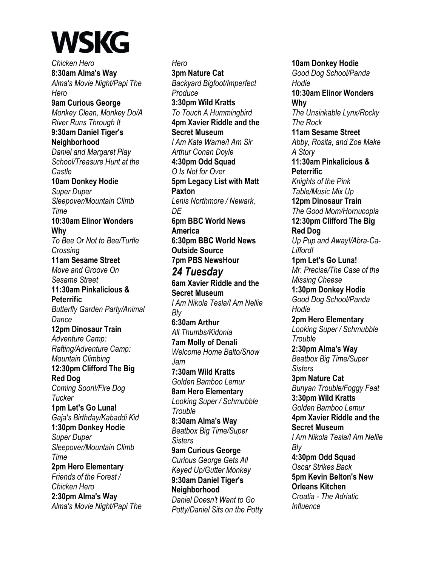*Chicken Hero*  **8:30am Alma's Way**  *Alma's Movie Night/Papi The Hero*  **9am Curious George**  *Monkey Clean, Monkey Do/A River Runs Through It*  **9:30am Daniel Tiger's Neighborhood**  *Daniel and Margaret Play School/Treasure Hunt at the Castle*  **10am Donkey Hodie**  *Super Duper Sleepover/Mountain Climb Time*  **10:30am Elinor Wonders Why**  *To Bee Or Not to Bee/Turtle Crossing*  **11am Sesame Street**  *Move and Groove On Sesame Street*  **11:30am Pinkalicious & Peterrific**  *Butterfly Garden Party/Animal Dance*  **12pm Dinosaur Train**  *Adventure Camp: Rafting/Adventure Camp: Mountain Climbing*  **12:30pm Clifford The Big Red Dog**  *Coming Soon!/Fire Dog Tucker*  **1pm Let's Go Luna!**  *Gaja's Birthday/Kabaddi Kid*  **1:30pm Donkey Hodie**  *Super Duper Sleepover/Mountain Climb Time*  **2pm Hero Elementary**  *Friends of the Forest / Chicken Hero*  **2:30pm Alma's Way**  *Alma's Movie Night/Papi The* 

*Hero*  **3pm Nature Cat**  *Backyard Bigfoot/Imperfect Produce*  **3:30pm Wild Kratts**  *To Touch A Hummingbird*  **4pm Xavier Riddle and the Secret Museum**  *I Am Kate Warne/I Am Sir Arthur Conan Doyle*  **4:30pm Odd Squad**  *O Is Not for Over*  **5pm Legacy List with Matt Paxton**  *Lenis Northmore / Newark, DE*  **6pm BBC World News America 6:30pm BBC World News Outside Source 7pm PBS NewsHour**  *24 Tuesday*  **6am Xavier Riddle and the Secret Museum**  *I Am Nikola Tesla/I Am Nellie Bly*  **6:30am Arthur**  *All Thumbs/Kidonia*  **7am Molly of Denali**  *Welcome Home Balto/Snow Jam*  **7:30am Wild Kratts**  *Golden Bamboo Lemur*  **8am Hero Elementary**  *Looking Super / Schmubble Trouble*  **8:30am Alma's Way**  *Beatbox Big Time/Super Sisters*  **9am Curious George**  *Curious George Gets All Keyed Up/Gutter Monkey*  **9:30am Daniel Tiger's Neighborhood**  *Daniel Doesn't Want to Go Potty/Daniel Sits on the Potty* 

**10am Donkey Hodie**  *Good Dog School/Panda Hodie*  **10:30am Elinor Wonders Why**  *The Unsinkable Lynx/Rocky The Rock*  **11am Sesame Street**  *Abby, Rosita, and Zoe Make A Story*  **11:30am Pinkalicious & Peterrific**  *Knights of the Pink Table/Music Mix Up*  **12pm Dinosaur Train**  *The Good Mom/Hornucopia*  **12:30pm Clifford The Big Red Dog**  *Up Pup and Away!/Abra-Ca-Lifford!*  **1pm Let's Go Luna!**  *Mr. Precise/The Case of the Missing Cheese*  **1:30pm Donkey Hodie**  *Good Dog School/Panda Hodie*  **2pm Hero Elementary**  *Looking Super / Schmubble Trouble*  **2:30pm Alma's Way**  *Beatbox Big Time/Super Sisters*  **3pm Nature Cat**  *Bunyan Trouble/Foggy Feat*  **3:30pm Wild Kratts**  *Golden Bamboo Lemur*  **4pm Xavier Riddle and the Secret Museum**  *I Am Nikola Tesla/I Am Nellie Bly*  **4:30pm Odd Squad**  *Oscar Strikes Back*  **5pm Kevin Belton's New Orleans Kitchen**  *Croatia - The Adriatic Influence*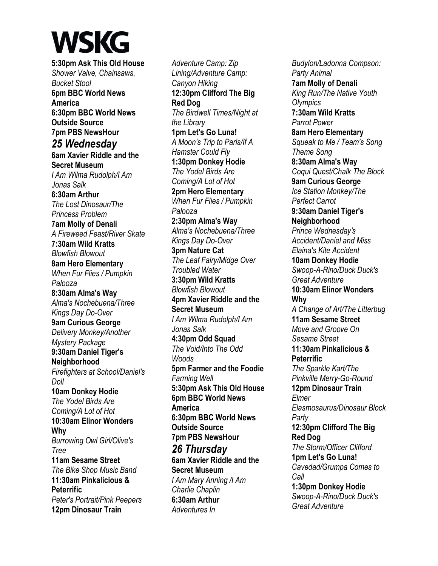**5:30pm Ask This Old House**  *Shower Valve, Chainsaws, Bucket Stool*  **6pm BBC World News America 6:30pm BBC World News Outside Source 7pm PBS NewsHour**  *25 Wednesday*  **6am Xavier Riddle and the Secret Museum**  *I Am Wilma Rudolph/I Am Jonas Salk*  **6:30am Arthur**  *The Lost Dinosaur/The Princess Problem*  **7am Molly of Denali**  *A Fireweed Feast/River Skate*  **7:30am Wild Kratts**  *Blowfish Blowout*  **8am Hero Elementary**  *When Fur Flies / Pumpkin Palooza*  **8:30am Alma's Way**  *Alma's Nochebuena/Three Kings Day Do-Over*  **9am Curious George**  *Delivery Monkey/Another Mystery Package*  **9:30am Daniel Tiger's Neighborhood**  *Firefighters at School/Daniel's Doll*  **10am Donkey Hodie**  *The Yodel Birds Are Coming/A Lot of Hot*  **10:30am Elinor Wonders Why**  *Burrowing Owl Girl/Olive's Tree*  **11am Sesame Street**  *The Bike Shop Music Band*  **11:30am Pinkalicious & Peterrific**  *Peter's Portrait/Pink Peepers*  **12pm Dinosaur Train** 

*Adventure Camp: Zip Lining/Adventure Camp: Canyon Hiking*  **12:30pm Clifford The Big Red Dog**  *The Birdwell Times/Night at the Library*  **1pm Let's Go Luna!**  *A Moon's Trip to Paris/If A Hamster Could Fly*  **1:30pm Donkey Hodie**  *The Yodel Birds Are Coming/A Lot of Hot*  **2pm Hero Elementary**  *When Fur Flies / Pumpkin Palooza*  **2:30pm Alma's Way**  *Alma's Nochebuena/Three Kings Day Do-Over*  **3pm Nature Cat**  *The Leaf Fairy/Midge Over Troubled Water*  **3:30pm Wild Kratts**  *Blowfish Blowout*  **4pm Xavier Riddle and the Secret Museum**  *I Am Wilma Rudolph/I Am Jonas Salk*  **4:30pm Odd Squad**  *The Void/Into The Odd Woods*  **5pm Farmer and the Foodie**  *Farming Well*  **5:30pm Ask This Old House 6pm BBC World News America 6:30pm BBC World News Outside Source 7pm PBS NewsHour**  *26 Thursday*  **6am Xavier Riddle and the Secret Museum** 

*I Am Mary Anning /I Am Charlie Chaplin*  **6:30am Arthur**  *Adventures In* 

*Budylon/Ladonna Compson: Party Animal*  **7am Molly of Denali**  *King Run/The Native Youth Olympics*  **7:30am Wild Kratts**  *Parrot Power*  **8am Hero Elementary**  *Squeak to Me / Team's Song Theme Song*  **8:30am Alma's Way**  *Coqui Quest/Chalk The Block*  **9am Curious George**  *Ice Station Monkey/The Perfect Carrot*  **9:30am Daniel Tiger's Neighborhood**  *Prince Wednesday's Accident/Daniel and Miss Elaina's Kite Accident*  **10am Donkey Hodie**  *Swoop-A-Rino/Duck Duck's Great Adventure*  **10:30am Elinor Wonders Why**  *A Change of Art/The Litterbug*  **11am Sesame Street**  *Move and Groove On Sesame Street*  **11:30am Pinkalicious & Peterrific**  *The Sparkle Kart/The Pinkville Merry-Go-Round*  **12pm Dinosaur Train**  *Elmer Elasmosaurus/Dinosaur Block Party*  **12:30pm Clifford The Big Red Dog**  *The Storm/Officer Clifford*  **1pm Let's Go Luna!**  *Cavedad/Grumpa Comes to Call*  **1:30pm Donkey Hodie**  *Swoop-A-Rino/Duck Duck's Great Adventure*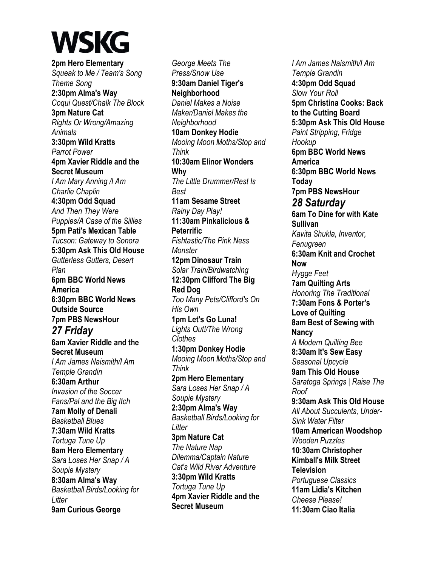**2pm Hero Elementary**  *Squeak to Me / Team's Song Theme Song*  **2:30pm Alma's Way**  *Coqui Quest/Chalk The Block*  **3pm Nature Cat**  *Rights Or Wrong/Amazing Animals*  **3:30pm Wild Kratts**  *Parrot Power*  **4pm Xavier Riddle and the Secret Museum**  *I Am Mary Anning /I Am Charlie Chaplin*  **4:30pm Odd Squad**  *And Then They Were Puppies/A Case of the Sillies*  **5pm Pati's Mexican Table**  *Tucson: Gateway to Sonora*  **5:30pm Ask This Old House**  *Gutterless Gutters, Desert Plan*  **6pm BBC World News America 6:30pm BBC World News Outside Source 7pm PBS NewsHour**  *27 Friday*  **6am Xavier Riddle and the Secret Museum**  *I Am James Naismith/I Am Temple Grandin*  **6:30am Arthur**  *Invasion of the Soccer Fans/Pal and the Big Itch*  **7am Molly of Denali**  *Basketball Blues*  **7:30am Wild Kratts**  *Tortuga Tune Up*  **8am Hero Elementary**  *Sara Loses Her Snap / A Soupie Mystery*  **8:30am Alma's Way**  *Basketball Birds/Looking for Litter*  **9am Curious George** 

*George Meets The Press/Snow Use*  **9:30am Daniel Tiger's Neighborhood**  *Daniel Makes a Noise Maker/Daniel Makes the Neighborhood*  **10am Donkey Hodie**  *Mooing Moon Moths/Stop and Think*  **10:30am Elinor Wonders Why**  *The Little Drummer/Rest Is Best*  **11am Sesame Street**  *Rainy Day Play!*  **11:30am Pinkalicious & Peterrific**  *Fishtastic/The Pink Ness Monster*  **12pm Dinosaur Train**  *Solar Train/Birdwatching*  **12:30pm Clifford The Big Red Dog**  *Too Many Pets/Clifford's On His Own*  **1pm Let's Go Luna!**  *Lights Out!/The Wrong Clothes*  **1:30pm Donkey Hodie**  *Mooing Moon Moths/Stop and Think*  **2pm Hero Elementary**  *Sara Loses Her Snap / A Soupie Mystery*  **2:30pm Alma's Way**  *Basketball Birds/Looking for Litter*  **3pm Nature Cat**  *The Nature Nap Dilemma/Captain Nature Cat's Wild River Adventure*  **3:30pm Wild Kratts**  *Tortuga Tune Up*  **4pm Xavier Riddle and the Secret Museum** 

*I Am James Naismith/I Am Temple Grandin*  **4:30pm Odd Squad**  *Slow Your Roll*  **5pm Christina Cooks: Back to the Cutting Board 5:30pm Ask This Old House**  *Paint Stripping, Fridge Hookup*  **6pm BBC World News America 6:30pm BBC World News Today 7pm PBS NewsHour**  *28 Saturday*  **6am To Dine for with Kate Sullivan**  *Kavita Shukla, Inventor, Fenugreen*  **6:30am Knit and Crochet Now**  *Hygge Feet*  **7am Quilting Arts**  *Honoring The Traditional*  **7:30am Fons & Porter's Love of Quilting 8am Best of Sewing with Nancy**  *A Modern Quilting Bee*  **8:30am It's Sew Easy**  *Seasonal Upcycle*  **9am This Old House**  *Saratoga Springs | Raise The Roof*  **9:30am Ask This Old House**  *All About Succulents, Under-Sink Water Filter*  **10am American Woodshop**  *Wooden Puzzles*  **10:30am Christopher Kimball's Milk Street Television**  *Portuguese Classics*  **11am Lidia's Kitchen**  *Cheese Please!*  **11:30am Ciao Italia**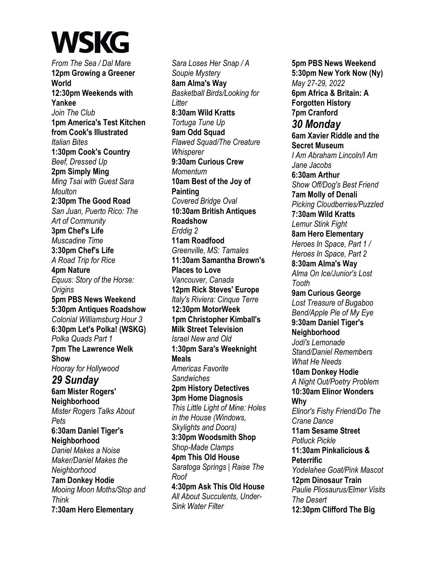*From The Sea / Dal Mare*  **12pm Growing a Greener World 12:30pm Weekends with Yankee**  *Join The Club*  **1pm America's Test Kitchen from Cook's Illustrated**  *Italian Bites*  **1:30pm Cook's Country**  *Beef, Dressed Up*  **2pm Simply Ming**  *Ming Tsai with Guest Sara Moulton*  **2:30pm The Good Road**  *San Juan, Puerto Rico: The Art of Community*  **3pm Chef's Life**  *Muscadine Time*  **3:30pm Chef's Life**  *A Road Trip for Rice*  **4pm Nature**  *Equus: Story of the Horse: Origins*  **5pm PBS News Weekend 5:30pm Antiques Roadshow**  *Colonial Williamsburg Hour 3*  **6:30pm Let's Polka! (WSKG)**  *Polka Quads Part 1*  **7pm The Lawrence Welk Show**  *Hooray for Hollywood 29 Sunday*  **6am Mister Rogers' Neighborhood**  *Mister Rogers Talks About Pets*  **6:30am Daniel Tiger's Neighborhood**  *Daniel Makes a Noise Maker/Daniel Makes the Neighborhood*  **7am Donkey Hodie**  *Mooing Moon Moths/Stop and Think*  **7:30am Hero Elementary** 

*Sara Loses Her Snap / A Soupie Mystery*  **8am Alma's Way**  *Basketball Birds/Looking for Litter*  **8:30am Wild Kratts**  *Tortuga Tune Up*  **9am Odd Squad**  *Flawed Squad/The Creature Whisperer*  **9:30am Curious Crew**  *Momentum*  **10am Best of the Joy of Painting**  *Covered Bridge Oval*  **10:30am British Antiques Roadshow**  *Erddig 2*  **11am Roadfood**  *Greenville, MS: Tamales*  **11:30am Samantha Brown's Places to Love**  *Vancouver, Canada*  **12pm Rick Steves' Europe**  *Italy's Riviera: Cinque Terre*  **12:30pm MotorWeek 1pm Christopher Kimball's Milk Street Television**  *Israel New and Old*  **1:30pm Sara's Weeknight Meals**  *Americas Favorite Sandwiches*  **2pm History Detectives 3pm Home Diagnosis**  *This Little Light of Mine: Holes in the House (Windows, Skylights and Doors)*  **3:30pm Woodsmith Shop**  *Shop-Made Clamps*  **4pm This Old House**  *Saratoga Springs | Raise The Roof*  **4:30pm Ask This Old House**  *All About Succulents, Under-Sink Water Filter* 

**5pm PBS News Weekend 5:30pm New York Now (Ny)**  *May 27-29, 2022*  **6pm Africa & Britain: A Forgotten History 7pm Cranford**  *30 Monday*  **6am Xavier Riddle and the Secret Museum**  *I Am Abraham Lincoln/I Am Jane Jacobs*  **6:30am Arthur**  *Show Off/Dog's Best Friend*  **7am Molly of Denali**  *Picking Cloudberries/Puzzled*  **7:30am Wild Kratts**  *Lemur Stink Fight*  **8am Hero Elementary**  *Heroes In Space, Part 1 / Heroes In Space, Part 2*  **8:30am Alma's Way**  *Alma On Ice/Junior's Lost Tooth*  **9am Curious George**  *Lost Treasure of Bugaboo Bend/Apple Pie of My Eye*  **9:30am Daniel Tiger's Neighborhood**  *Jodi's Lemonade Stand/Daniel Remembers What He Needs*  **10am Donkey Hodie**  *A Night Out/Poetry Problem*  **10:30am Elinor Wonders Why**  *Elinor's Fishy Friend/Do The Crane Dance*  **11am Sesame Street**  *Potluck Pickle*  **11:30am Pinkalicious & Peterrific**  *Yodelahee Goat/Pink Mascot*  **12pm Dinosaur Train**  *Paulie Pliosaurus/Elmer Visits The Desert*  **12:30pm Clifford The Big**